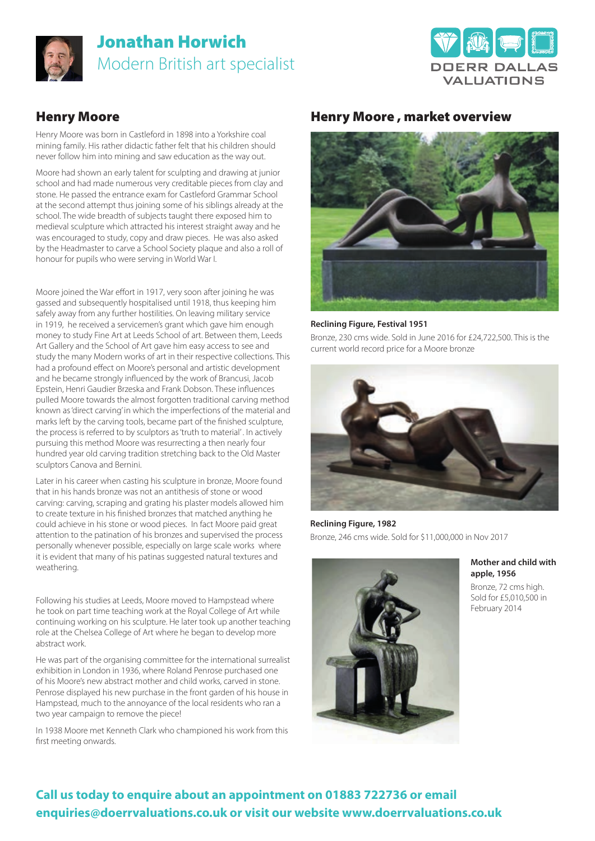

# Jonathan Horwich Modern British art specialist



### Henry Moore

Henry Moore was born in Castleford in 1898 into a Yorkshire coal mining family. His rather didactic father felt that his children should never follow him into mining and saw education as the way out.

Moore had shown an early talent for sculpting and drawing at junior school and had made numerous very creditable pieces from clay and stone. He passed the entrance exam for Castleford Grammar School at the second attempt thus joining some of his siblings already at the school. The wide breadth of subjects taught there exposed him to medieval sculpture which attracted his interest straight away and he was encouraged to study, copy and draw pieces. He was also asked by the Headmaster to carve a School Society plaque and also a roll of honour for pupils who were serving in World War I.

Moore joined the War effort in 1917, very soon after joining he was gassed and subsequently hospitalised until 1918, thus keeping him safely away from any further hostilities. On leaving military service in 1919, he received a servicemen's grant which gave him enough money to study Fine Art at Leeds School of art. Between them, Leeds Art Gallery and the School of Art gave him easy access to see and study the many Modern works of art in their respective collections. This had a profound effect on Moore's personal and artistic development and he became strongly influenced by the work of Brancusi, Jacob Epstein, Henri Gaudier Brzeska and Frank Dobson. These influences pulled Moore towards the almost forgotten traditional carving method known as 'direct carving' in which the imperfections of the material and marks left by the carving tools, became part of the finished sculpture, the process is referred to by sculptors as 'truth to material' . In actively pursuing this method Moore was resurrecting a then nearly four hundred year old carving tradition stretching back to the Old Master sculptors Canova and Bernini.

Later in his career when casting his sculpture in bronze, Moore found that in his hands bronze was not an antithesis of stone or wood carving: carving, scraping and grating his plaster models allowed him to create texture in his finished bronzes that matched anything he could achieve in his stone or wood pieces. In fact Moore paid great attention to the patination of his bronzes and supervised the process personally whenever possible, especially on large scale works where it is evident that many of his patinas suggested natural textures and weathering.

Following his studies at Leeds, Moore moved to Hampstead where he took on part time teaching work at the Royal College of Art while continuing working on his sculpture. He later took up another teaching role at the Chelsea College of Art where he began to develop more abstract work.

He was part of the organising committee for the international surrealist exhibition in London in 1936, where Roland Penrose purchased one of his Moore's new abstract mother and child works, carved in stone. Penrose displayed his new purchase in the front garden of his house in Hampstead, much to the annoyance of the local residents who ran a two year campaign to remove the piece!

In 1938 Moore met Kenneth Clark who championed his work from this first meeting onwards.

### Henry Moore , market overview



### **Reclining Figure, Festival 1951**

Bronze, 230 cms wide. Sold in June 2016 for £24,722,500. This is the current world record price for a Moore bronze



**Reclining Figure, 1982**  Bronze, 246 cms wide. Sold for \$11,000,000 in Nov 2017



#### **Mother and child with apple, 1956**

Bronze, 72 cms high. Sold for £5,010,500 in February 2014

## **Call us today to enquire about an appointment on 01883 722736 or email enquiries@doerrvaluations.co.uk or visit our website www.doerrvaluations.co.uk**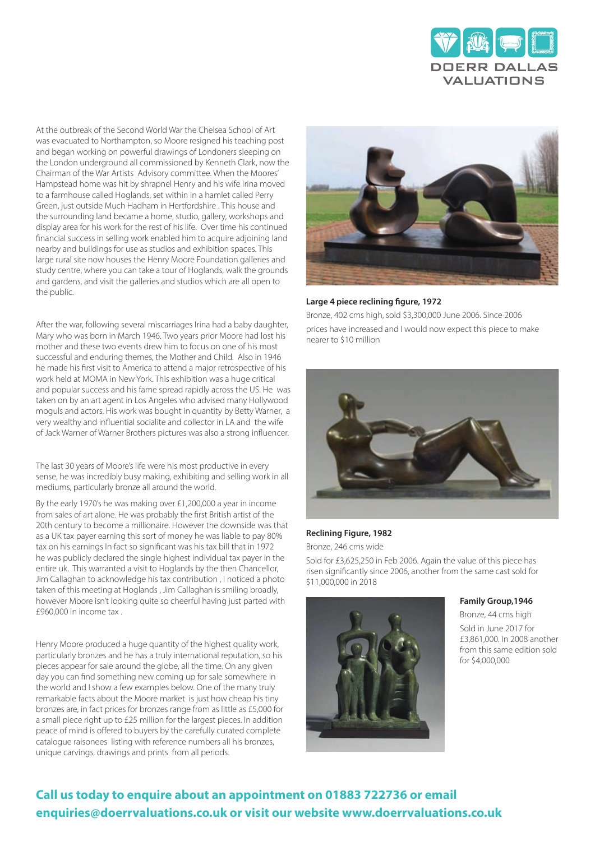

At the outbreak of the Second World War the Chelsea School of Art was evacuated to Northampton, so Moore resigned his teaching post and began working on powerful drawings of Londoners sleeping on the London underground all commissioned by Kenneth Clark, now the Chairman of the War Artists Advisory committee. When the Moores' Hampstead home was hit by shrapnel Henry and his wife Irina moved to a farmhouse called Hoglands, set within in a hamlet called Perry Green, just outside Much Hadham in Hertfordshire . This house and the surrounding land became a home, studio, gallery, workshops and display area for his work for the rest of his life. Over time his continued financial success in selling work enabled him to acquire adjoining land nearby and buildings for use as studios and exhibition spaces. This large rural site now houses the Henry Moore Foundation galleries and study centre, where you can take a tour of Hoglands, walk the grounds and gardens, and visit the galleries and studios which are all open to the public.

After the war, following several miscarriages Irina had a baby daughter, Mary who was born in March 1946. Two years prior Moore had lost his mother and these two events drew him to focus on one of his most successful and enduring themes, the Mother and Child. Also in 1946 he made his first visit to America to attend a major retrospective of his work held at MOMA in New York. This exhibition was a huge critical and popular success and his fame spread rapidly across the US. He was taken on by an art agent in Los Angeles who advised many Hollywood moguls and actors. His work was bought in quantity by Betty Warner, a very wealthy and influential socialite and collector in LA and the wife of Jack Warner of Warner Brothers pictures was also a strong influencer.

The last 30 years of Moore's life were his most productive in every sense, he was incredibly busy making, exhibiting and selling work in all mediums, particularly bronze all around the world.

By the early 1970's he was making over £1,200,000 a year in income from sales of art alone. He was probably the first British artist of the 20th century to become a millionaire. However the downside was that as a UK tax payer earning this sort of money he was liable to pay 80% tax on his earnings In fact so significant was his tax bill that in 1972 he was publicly declared the single highest individual tax payer in the entire uk. This warranted a visit to Hoglands by the then Chancellor, Jim Callaghan to acknowledge his tax contribution , I noticed a photo taken of this meeting at Hoglands , Jim Callaghan is smiling broadly, however Moore isn't looking quite so cheerful having just parted with £960,000 in income tax .

Henry Moore produced a huge quantity of the highest quality work, particularly bronzes and he has a truly international reputation, so his pieces appear for sale around the globe, all the time. On any given day you can find something new coming up for sale somewhere in the world and I show a few examples below. One of the many truly remarkable facts about the Moore market is just how cheap his tiny bronzes are, in fact prices for bronzes range from as little as £5,000 for a small piece right up to £25 million for the largest pieces. In addition peace of mind is offered to buyers by the carefully curated complete catalogue raisonees listing with reference numbers all his bronzes, unique carvings, drawings and prints from all periods.



#### **Large 4 piece reclining figure, 1972**

Bronze, 402 cms high, sold \$3,300,000 June 2006. Since 2006 prices have increased and I would now expect this piece to make nearer to \$10 million



#### **Reclining Figure, 1982**

Bronze, 246 cms wide

Sold for £3,625,250 in Feb 2006. Again the value of this piece has risen significantly since 2006, another from the same cast sold for \$11,000,000 in 2018



#### **Family Group,1946**

Bronze, 44 cms high Sold in June 2017 for £3,861,000. In 2008 another from this same edition sold for \$4,000,000

### **Call us today to enquire about an appointment on 01883 722736 or email enquiries@doerrvaluations.co.uk or visit our website www.doerrvaluations.co.uk**